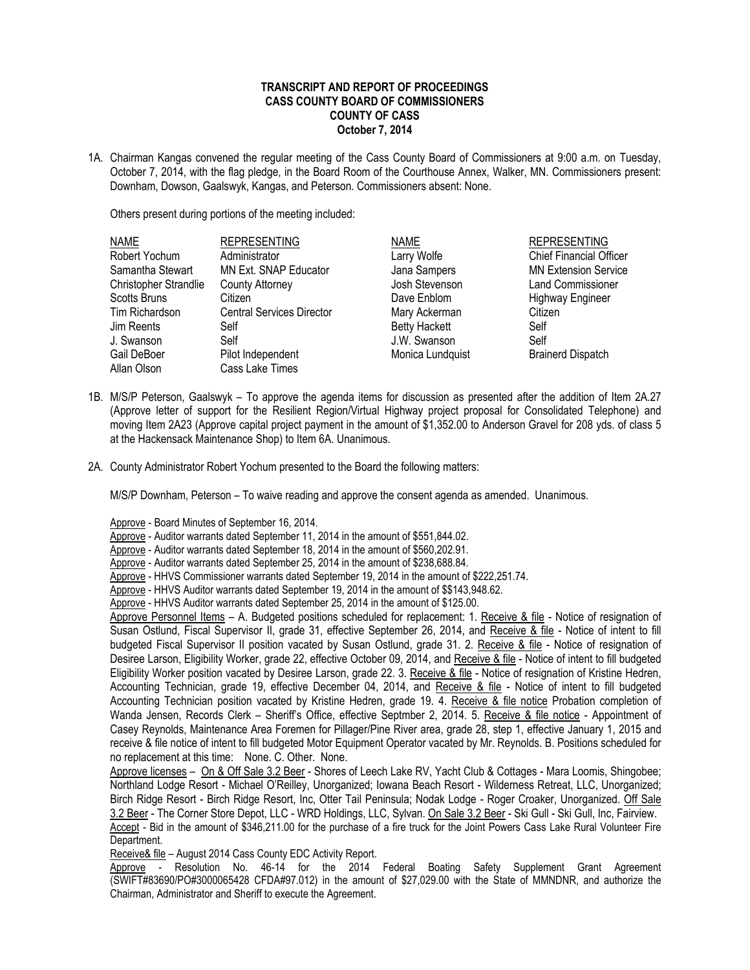## **TRANSCRIPT AND REPORT OF PROCEEDINGS CASS COUNTY BOARD OF COMMISSIONERS COUNTY OF CASS October 7, 2014**

1A. Chairman Kangas convened the regular meeting of the Cass County Board of Commissioners at 9:00 a.m. on Tuesday, October 7, 2014, with the flag pledge, in the Board Room of the Courthouse Annex, Walker, MN. Commissioners present: Downham, Dowson, Gaalswyk, Kangas, and Peterson. Commissioners absent: None.

Others present during portions of the meeting included:

| <b>NAME</b>                  | <b>REPRESENTING</b>              | <b>NAME</b>          | <b>REPRESENTING</b>            |
|------------------------------|----------------------------------|----------------------|--------------------------------|
| Robert Yochum                | Administrator                    | Larry Wolfe          | <b>Chief Financial Officer</b> |
| Samantha Stewart             | MN Ext. SNAP Educator            | Jana Sampers         | <b>MN Extension Service</b>    |
| <b>Christopher Strandlie</b> | <b>County Attorney</b>           | Josh Stevenson       | <b>Land Commissioner</b>       |
| <b>Scotts Bruns</b>          | Citizen                          | Dave Enblom          | <b>Highway Engineer</b>        |
| Tim Richardson               | <b>Central Services Director</b> | Mary Ackerman        | Citizen                        |
| Jim Reents                   | Self                             | <b>Betty Hackett</b> | Self                           |
| J. Swanson                   | Self                             | J.W. Swanson         | Self                           |
| Gail DeBoer                  | Pilot Independent                | Monica Lundquist     | <b>Brainerd Dispatch</b>       |
| Allan Olson                  | Cass Lake Times                  |                      |                                |

- 1B. M/S/P Peterson, Gaalswyk To approve the agenda items for discussion as presented after the addition of Item 2A.27 (Approve letter of support for the Resilient Region/Virtual Highway project proposal for Consolidated Telephone) and moving Item 2A23 (Approve capital project payment in the amount of \$1,352.00 to Anderson Gravel for 208 yds. of class 5 at the Hackensack Maintenance Shop) to Item 6A. Unanimous.
- 2A. County Administrator Robert Yochum presented to the Board the following matters:

M/S/P Downham, Peterson – To waive reading and approve the consent agenda as amended. Unanimous.

Approve - Board Minutes of September 16, 2014.

Approve - Auditor warrants dated September 11, 2014 in the amount of \$551,844.02.

Approve - Auditor warrants dated September 18, 2014 in the amount of \$560,202.91.

Approve - Auditor warrants dated September 25, 2014 in the amount of \$238,688.84.

Approve - HHVS Commissioner warrants dated September 19, 2014 in the amount of \$222,251.74.

Approve - HHVS Auditor warrants dated September 19, 2014 in the amount of \$\$143,948.62.

Approve - HHVS Auditor warrants dated September 25, 2014 in the amount of \$125.00.

Approve Personnel Items – A. Budgeted positions scheduled for replacement: 1. Receive & file - Notice of resignation of Susan Ostlund, Fiscal Supervisor II, grade 31, effective September 26, 2014, and Receive & file - Notice of intent to fill budgeted Fiscal Supervisor II position vacated by Susan Ostlund, grade 31. 2. Receive & file - Notice of resignation of Desiree Larson, Eligibility Worker, grade 22, effective October 09, 2014, and Receive & file - Notice of intent to fill budgeted Eligibility Worker position vacated by Desiree Larson, grade 22. 3. Receive & file - Notice of resignation of Kristine Hedren, Accounting Technician, grade 19, effective December 04, 2014, and Receive & file - Notice of intent to fill budgeted Accounting Technician position vacated by Kristine Hedren, grade 19. 4. Receive & file notice Probation completion of Wanda Jensen, Records Clerk – Sheriff's Office, effective Septmber 2, 2014. 5. Receive & file notice - Appointment of Casey Reynolds, Maintenance Area Foremen for Pillager/Pine River area, grade 28, step 1, effective January 1, 2015 and receive & file notice of intent to fill budgeted Motor Equipment Operator vacated by Mr. Reynolds. B. Positions scheduled for no replacement at this time: None. C. Other. None.

Approve licenses – On & Off Sale 3.2 Beer - Shores of Leech Lake RV, Yacht Club & Cottages - Mara Loomis, Shingobee; Northland Lodge Resort - Michael O'Reilley, Unorganized; Iowana Beach Resort - Wilderness Retreat, LLC, Unorganized; Birch Ridge Resort - Birch Ridge Resort, Inc, Otter Tail Peninsula; Nodak Lodge - Roger Croaker, Unorganized. Off Sale 3.2 Beer - The Corner Store Depot, LLC - WRD Holdings, LLC, Sylvan. On Sale 3.2 Beer - Ski Gull - Ski Gull, Inc, Fairview. Accept - Bid in the amount of \$346,211.00 for the purchase of a fire truck for the Joint Powers Cass Lake Rural Volunteer Fire Department.

Receive& file – August 2014 Cass County EDC Activity Report.

Approve - Resolution No. 46-14 for the 2014 Federal Boating Safety Supplement Grant Agreement (SWIFT#83690/PO#3000065428 CFDA#97.012) in the amount of \$27,029.00 with the State of MMNDNR, and authorize the Chairman, Administrator and Sheriff to execute the Agreement.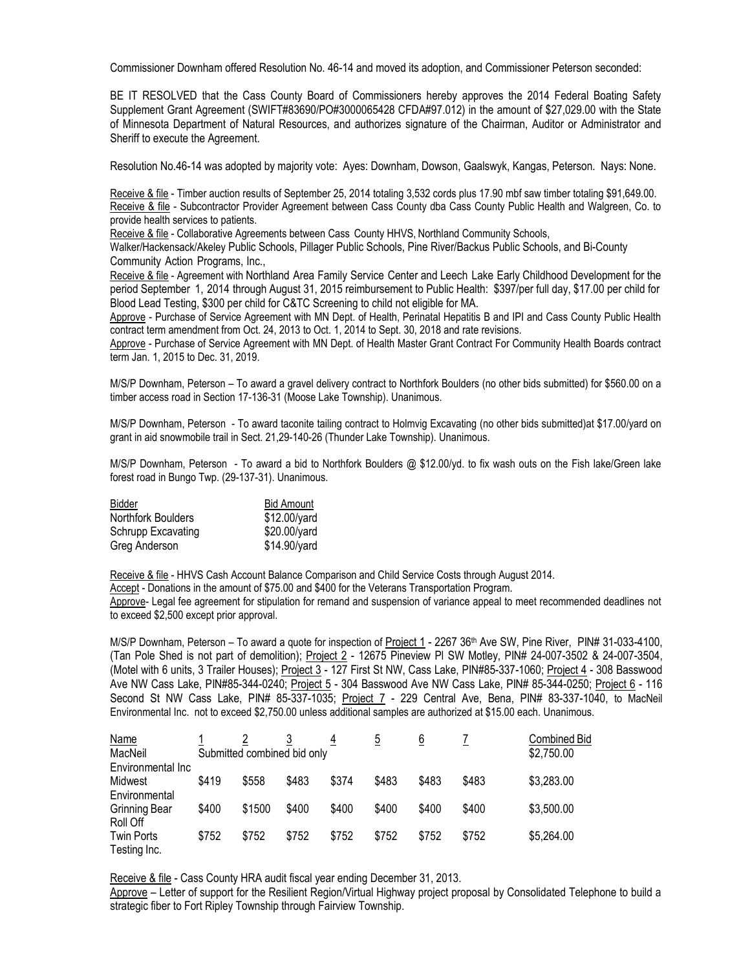Commissioner Downham offered Resolution No. 46-14 and moved its adoption, and Commissioner Peterson seconded:

BE IT RESOLVED that the Cass County Board of Commissioners hereby approves the 2014 Federal Boating Safety Supplement Grant Agreement (SWIFT#83690/PO#3000065428 CFDA#97.012) in the amount of \$27,029.00 with the State of Minnesota Department of Natural Resources, and authorizes signature of the Chairman, Auditor or Administrator and Sheriff to execute the Agreement.

Resolution No.46-14 was adopted by majority vote: Ayes: Downham, Dowson, Gaalswyk, Kangas, Peterson. Nays: None.

Receive & file - Timber auction results of September 25, 2014 totaling 3,532 cords plus 17.90 mbf saw timber totaling \$91,649.00. Receive & file - Subcontractor Provider Agreement between Cass County dba Cass County Public Health and Walgreen, Co. to provide health services to patients.

Receive & file - Collaborative Agreements between Cass County HHVS, Northland Community Schools,

Walker/Hackensack/Akeley Public Schools, Pillager Public Schools, Pine River/Backus Public Schools, and Bi-County Community Action Programs, Inc.,

Receive & file - Agreement with Northland Area Family Service Center and Leech Lake Early Childhood Development for the period September 1, 2014 through August 31, 2015 reimbursement to Public Health: \$397/per full day, \$17.00 per child for Blood Lead Testing, \$300 per child for C&TC Screening to child not eligible for MA.

Approve - Purchase of Service Agreement with MN Dept. of Health, Perinatal Hepatitis B and IPI and Cass County Public Health contract term amendment from Oct. 24, 2013 to Oct. 1, 2014 to Sept. 30, 2018 and rate revisions.

Approve - Purchase of Service Agreement with MN Dept. of Health Master Grant Contract For Community Health Boards contract term Jan. 1, 2015 to Dec. 31, 2019.

M/S/P Downham, Peterson – To award a gravel delivery contract to Northfork Boulders (no other bids submitted) for \$560.00 on a timber access road in Section 17-136-31 (Moose Lake Township). Unanimous.

M/S/P Downham, Peterson - To award taconite tailing contract to Holmvig Excavating (no other bids submitted)at \$17.00/yard on grant in aid snowmobile trail in Sect. 21,29-140-26 (Thunder Lake Township). Unanimous.

M/S/P Downham, Peterson - To award a bid to Northfork Boulders @ \$12.00/yd. to fix wash outs on the Fish lake/Green lake forest road in Bungo Twp. (29-137-31). Unanimous.

| Bidder             | <b>Bid Amount</b> |
|--------------------|-------------------|
| Northfork Boulders | \$12.00/yard      |
| Schrupp Excavating | \$20.00/yard      |
| Greg Anderson      | \$14.90/yard      |

Receive & file - HHVS Cash Account Balance Comparison and Child Service Costs through August 2014.

Accept - Donations in the amount of \$75.00 and \$400 for the Veterans Transportation Program.

Approve- Legal fee agreement for stipulation for remand and suspension of variance appeal to meet recommended deadlines not to exceed \$2,500 except prior approval.

M/S/P Downham, Peterson – To award a quote for inspection of Project 1 - 2267 36th Ave SW, Pine River, PIN# 31-033-4100, (Tan Pole Shed is not part of demolition); Project 2 - 12675 Pineview Pl SW Motley, PIN# 24-007-3502 & 24-007-3504, (Motel with 6 units, 3 Trailer Houses); Project 3 - 127 First St NW, Cass Lake, PIN#85-337-1060; Project 4 - 308 Basswood Ave NW Cass Lake, PIN#85-344-0240; Project 5 - 304 Basswood Ave NW Cass Lake, PIN# 85-344-0250; Project 6 - 116 Second St NW Cass Lake, PIN# 85-337-1035; Project 7 - 229 Central Ave, Bena, PIN# 83-337-1040, to MacNeil Environmental Inc. not to exceed \$2,750.00 unless additional samples are authorized at \$15.00 each. Unanimous.

| <b>Name</b>          |       |                                           |       | $\overline{4}$ | $\ddot{\circ}$ | <u>6</u> |       | Combined Bid |
|----------------------|-------|-------------------------------------------|-------|----------------|----------------|----------|-------|--------------|
| MacNeil              |       | \$2,750.00<br>Submitted combined bid only |       |                |                |          |       |              |
| Environmental Inc    |       |                                           |       |                |                |          |       |              |
| Midwest              | \$419 | \$558                                     | \$483 | \$374          | \$483          | \$483    | \$483 | \$3,283.00   |
| Environmental        |       |                                           |       |                |                |          |       |              |
| <b>Grinning Bear</b> | \$400 | \$1500                                    | \$400 | \$400          | \$400          | \$400    | \$400 | \$3,500.00   |
| Roll Off             |       |                                           |       |                |                |          |       |              |
| <b>Twin Ports</b>    | \$752 | \$752                                     | \$752 | \$752          | \$752          | \$752    | \$752 | \$5,264.00   |
| Testing Inc.         |       |                                           |       |                |                |          |       |              |

Receive & file - Cass County HRA audit fiscal year ending December 31, 2013.

Approve – Letter of support for the Resilient Region/Virtual Highway project proposal by Consolidated Telephone to build a strategic fiber to Fort Ripley Township through Fairview Township.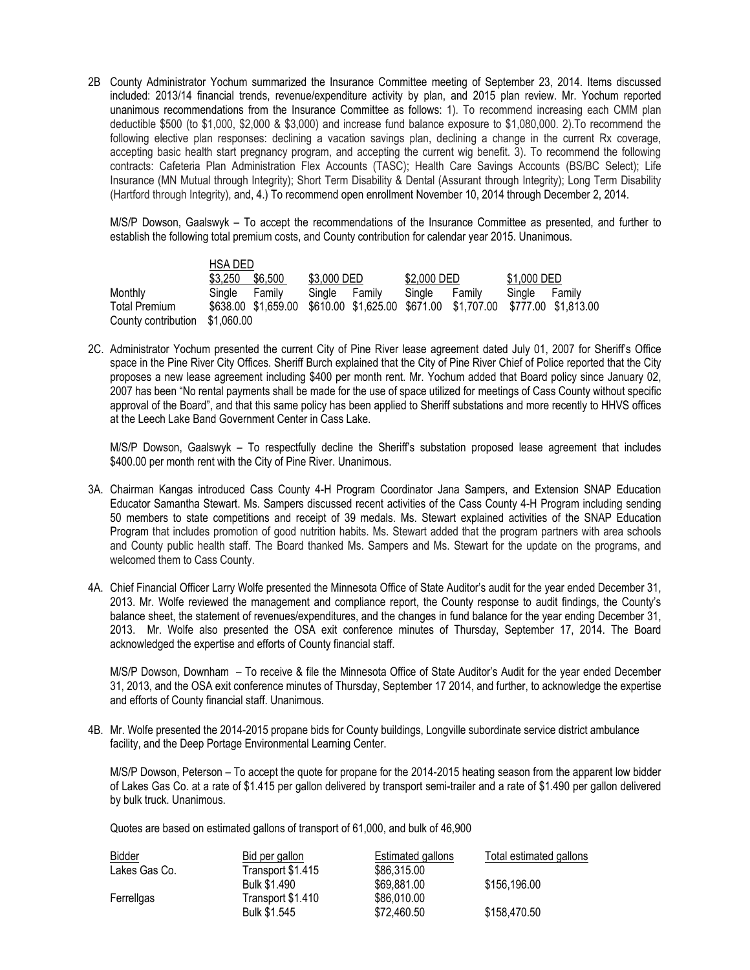2B County Administrator Yochum summarized the Insurance Committee meeting of September 23, 2014. Items discussed included: 2013/14 financial trends, revenue/expenditure activity by plan, and 2015 plan review. Mr. Yochum reported unanimous recommendations from the Insurance Committee as follows: 1). To recommend increasing each CMM plan deductible \$500 (to \$1,000, \$2,000 & \$3,000) and increase fund balance exposure to \$1,080,000. 2).To recommend the following elective plan responses: declining a vacation savings plan, declining a change in the current Rx coverage, accepting basic health start pregnancy program, and accepting the current wig benefit. 3). To recommend the following contracts: Cafeteria Plan Administration Flex Accounts (TASC); Health Care Savings Accounts (BS/BC Select); Life Insurance (MN Mutual through Integrity); Short Term Disability & Dental (Assurant through Integrity); Long Term Disability (Hartford through Integrity), and, 4.) To recommend open enrollment November 10, 2014 through December 2, 2014.

M/S/P Dowson, Gaalswyk – To accept the recommendations of the Insurance Committee as presented, and further to establish the following total premium costs, and County contribution for calendar year 2015. Unanimous.

|                     | <b>HSA DED</b>  |        |             |        |             |                                                                                 |               |  |
|---------------------|-----------------|--------|-------------|--------|-------------|---------------------------------------------------------------------------------|---------------|--|
|                     | \$3,250 \$6,500 |        | \$3,000 DED |        | \$2,000 DED |                                                                                 | \$1,000 DED   |  |
| Monthly             | Single          | Familv | Single      | Familv | Single      | Family                                                                          | Single Family |  |
| Total Premium       |                 |        |             |        |             | \$638.00 \$1,659.00 \$610.00 \$1,625.00 \$671.00 \$1,707.00 \$777.00 \$1,813.00 |               |  |
| County contribution | \$1,060.00      |        |             |        |             |                                                                                 |               |  |

2C. Administrator Yochum presented the current City of Pine River lease agreement dated July 01, 2007 for Sheriff's Office space in the Pine River City Offices. Sheriff Burch explained that the City of Pine River Chief of Police reported that the City proposes a new lease agreement including \$400 per month rent. Mr. Yochum added that Board policy since January 02, 2007 has been "No rental payments shall be made for the use of space utilized for meetings of Cass County without specific approval of the Board", and that this same policy has been applied to Sheriff substations and more recently to HHVS offices at the Leech Lake Band Government Center in Cass Lake.

M/S/P Dowson, Gaalswyk – To respectfully decline the Sheriff's substation proposed lease agreement that includes \$400.00 per month rent with the City of Pine River. Unanimous.

- 3A. Chairman Kangas introduced Cass County 4-H Program Coordinator Jana Sampers, and Extension SNAP Education Educator Samantha Stewart. Ms. Sampers discussed recent activities of the Cass County 4-H Program including sending 50 members to state competitions and receipt of 39 medals. Ms. Stewart explained activities of the SNAP Education Program that includes promotion of good nutrition habits. Ms. Stewart added that the program partners with area schools and County public health staff. The Board thanked Ms. Sampers and Ms. Stewart for the update on the programs, and welcomed them to Cass County.
- 4A. Chief Financial Officer Larry Wolfe presented the Minnesota Office of State Auditor's audit for the year ended December 31, 2013. Mr. Wolfe reviewed the management and compliance report, the County response to audit findings, the County's balance sheet, the statement of revenues/expenditures, and the changes in fund balance for the year ending December 31, 2013. Mr. Wolfe also presented the OSA exit conference minutes of Thursday, September 17, 2014. The Board acknowledged the expertise and efforts of County financial staff.

M/S/P Dowson, Downham – To receive & file the Minnesota Office of State Auditor's Audit for the year ended December 31, 2013, and the OSA exit conference minutes of Thursday, September 17 2014, and further, to acknowledge the expertise and efforts of County financial staff. Unanimous.

4B. Mr. Wolfe presented the 2014-2015 propane bids for County buildings, Longville subordinate service district ambulance facility, and the Deep Portage Environmental Learning Center.

M/S/P Dowson, Peterson – To accept the quote for propane for the 2014-2015 heating season from the apparent low bidder of Lakes Gas Co. at a rate of \$1.415 per gallon delivered by transport semi-trailer and a rate of \$1.490 per gallon delivered by bulk truck. Unanimous.

Quotes are based on estimated gallons of transport of 61,000, and bulk of 46,900

| <b>Bidder</b> | Bid per gallon    | Estimated gallons | Total estimated gallons |
|---------------|-------------------|-------------------|-------------------------|
| Lakes Gas Co. | Transport \$1.415 | \$86,315.00       |                         |
|               | Bulk \$1,490      | \$69,881,00       | \$156,196.00            |
| Ferrellgas    | Transport \$1.410 | \$86,010.00       |                         |
|               | Bulk \$1.545      | \$72,460.50       | \$158,470.50            |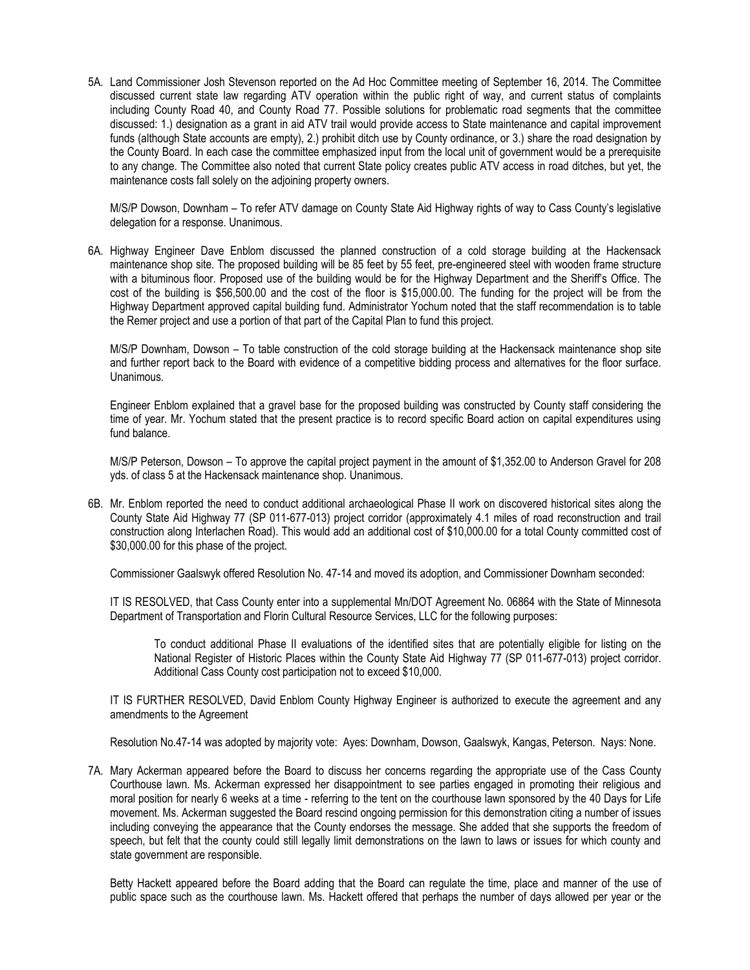5A. Land Commissioner Josh Stevenson reported on the Ad Hoc Committee meeting of September 16, 2014. The Committee discussed current state law regarding ATV operation within the public right of way, and current status of complaints including County Road 40, and County Road 77. Possible solutions for problematic road segments that the committee discussed: 1.) designation as a grant in aid ATV trail would provide access to State maintenance and capital improvement funds (although State accounts are empty), 2.) prohibit ditch use by County ordinance, or 3.) share the road designation by the County Board. In each case the committee emphasized input from the local unit of government would be a prerequisite to any change. The Committee also noted that current State policy creates public ATV access in road ditches, but yet, the maintenance costs fall solely on the adjoining property owners.

M/S/P Dowson, Downham – To refer ATV damage on County State Aid Highway rights of way to Cass County's legislative delegation for a response. Unanimous.

6A. Highway Engineer Dave Enblom discussed the planned construction of a cold storage building at the Hackensack maintenance shop site. The proposed building will be 85 feet by 55 feet, pre-engineered steel with wooden frame structure with a bituminous floor. Proposed use of the building would be for the Highway Department and the Sheriff's Office. The cost of the building is \$56,500.00 and the cost of the floor is \$15,000.00. The funding for the project will be from the Highway Department approved capital building fund. Administrator Yochum noted that the staff recommendation is to table the Remer project and use a portion of that part of the Capital Plan to fund this project.

M/S/P Downham, Dowson – To table construction of the cold storage building at the Hackensack maintenance shop site and further report back to the Board with evidence of a competitive bidding process and alternatives for the floor surface. Unanimous.

Engineer Enblom explained that a gravel base for the proposed building was constructed by County staff considering the time of year. Mr. Yochum stated that the present practice is to record specific Board action on capital expenditures using fund balance.

M/S/P Peterson, Dowson – To approve the capital project payment in the amount of \$1,352.00 to Anderson Gravel for 208 yds. of class 5 at the Hackensack maintenance shop. Unanimous.

6B. Mr. Enblom reported the need to conduct additional archaeological Phase II work on discovered historical sites along the County State Aid Highway 77 (SP 011-677-013) project corridor (approximately 4.1 miles of road reconstruction and trail construction along Interlachen Road). This would add an additional cost of \$10,000.00 for a total County committed cost of \$30,000.00 for this phase of the project.

Commissioner Gaalswyk offered Resolution No. 47-14 and moved its adoption, and Commissioner Downham seconded:

IT IS RESOLVED, that Cass County enter into a supplemental Mn/DOT Agreement No. 06864 with the State of Minnesota Department of Transportation and Florin Cultural Resource Services, LLC for the following purposes:

To conduct additional Phase II evaluations of the identified sites that are potentially eligible for listing on the National Register of Historic Places within the County State Aid Highway 77 (SP 011-677-013) project corridor. Additional Cass County cost participation not to exceed \$10,000.

IT IS FURTHER RESOLVED, David Enblom County Highway Engineer is authorized to execute the agreement and any amendments to the Agreement

Resolution No.47-14 was adopted by majority vote: Ayes: Downham, Dowson, Gaalswyk, Kangas, Peterson. Nays: None.

7A. Mary Ackerman appeared before the Board to discuss her concerns regarding the appropriate use of the Cass County Courthouse lawn. Ms. Ackerman expressed her disappointment to see parties engaged in promoting their religious and moral position for nearly 6 weeks at a time - referring to the tent on the courthouse lawn sponsored by the 40 Days for Life movement. Ms. Ackerman suggested the Board rescind ongoing permission for this demonstration citing a number of issues including conveying the appearance that the County endorses the message. She added that she supports the freedom of speech, but felt that the county could still legally limit demonstrations on the lawn to laws or issues for which county and state government are responsible.

Betty Hackett appeared before the Board adding that the Board can regulate the time, place and manner of the use of public space such as the courthouse lawn. Ms. Hackett offered that perhaps the number of days allowed per year or the